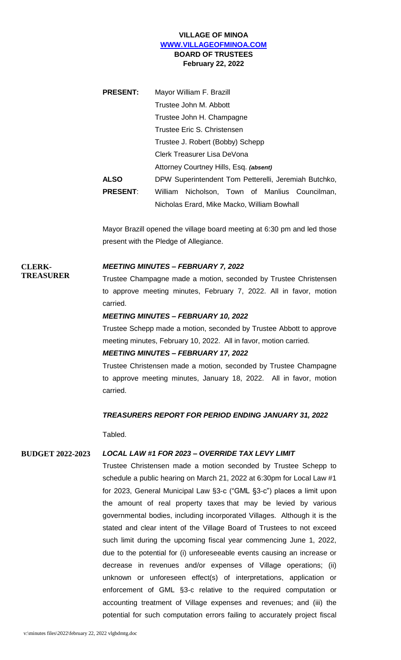## **VILLAGE OF MINOA [WWW.VILLAGEOFMINOA.COM](http://www.villageofminoa.com/) BOARD OF TRUSTEES February 22, 2022**

| <b>PRESENT:</b> | Mayor William F. Brazill                             |
|-----------------|------------------------------------------------------|
|                 | Trustee John M. Abbott                               |
|                 | Trustee John H. Champagne                            |
|                 | Trustee Eric S. Christensen                          |
|                 | Trustee J. Robert (Bobby) Schepp                     |
|                 | Clerk Treasurer Lisa DeVona                          |
|                 | Attorney Courtney Hills, Esq. (absent)               |
| <b>ALSO</b>     | DPW Superintendent Tom Petterelli, Jeremiah Butchko, |
| <b>PRESENT:</b> | Nicholson, Town of Manlius Councilman,<br>William    |
|                 | Nicholas Erard, Mike Macko, William Bowhall          |

Mayor Brazill opened the village board meeting at 6:30 pm and led those present with the Pledge of Allegiance.

### **CLERK-TREASURER**

### *MEETING MINUTES – FEBRUARY 7, 2022*

Trustee Champagne made a motion, seconded by Trustee Christensen to approve meeting minutes, February 7, 2022. All in favor, motion carried.

### *MEETING MINUTES – FEBRUARY 10, 2022*

Trustee Schepp made a motion, seconded by Trustee Abbott to approve meeting minutes, February 10, 2022. All in favor, motion carried.

### *MEETING MINUTES – FEBRUARY 17, 2022*

Trustee Christensen made a motion, seconded by Trustee Champagne to approve meeting minutes, January 18, 2022. All in favor, motion carried.

### *TREASURERS REPORT FOR PERIOD ENDING JANUARY 31, 2022*

Tabled.

### **BUDGET 2022-2023** *LOCAL LAW #1 FOR 2023 – OVERRIDE TAX LEVY LIMIT*

Trustee Christensen made a motion seconded by Trustee Schepp to schedule a public hearing on March 21, 2022 at 6:30pm for Local Law #1 for 2023, General Municipal Law §3-c ("GML §3-c") places a limit upon the amount of real property taxes that may be levied by various governmental bodies, including incorporated Villages. Although it is the stated and clear intent of the Village Board of Trustees to not exceed such limit during the upcoming fiscal year commencing June 1, 2022, due to the potential for (i) unforeseeable events causing an increase or decrease in revenues and/or expenses of Village operations; (ii) unknown or unforeseen effect(s) of interpretations, application or enforcement of GML §3-c relative to the required computation or accounting treatment of Village expenses and revenues; and (iii) the potential for such computation errors failing to accurately project fiscal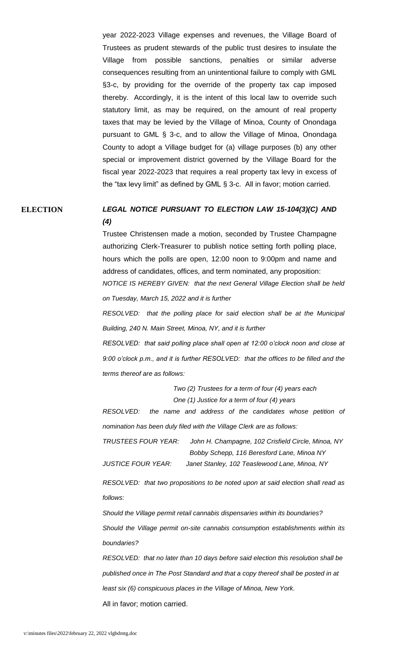year 2022-2023 Village expenses and revenues, the Village Board of Trustees as prudent stewards of the public trust desires to insulate the Village from possible sanctions, penalties or similar adverse consequences resulting from an unintentional failure to comply with GML §3-c, by providing for the override of the property tax cap imposed thereby. Accordingly, it is the intent of this local law to override such statutory limit, as may be required, on the amount of real property taxes that may be levied by the Village of Minoa, County of Onondaga pursuant to GML § 3-c, and to allow the Village of Minoa, Onondaga County to adopt a Village budget for (a) village purposes (b) any other special or improvement district governed by the Village Board for the fiscal year 2022-2023 that requires a real property tax levy in excess of the "tax levy limit" as defined by GML § 3-c. All in favor; motion carried.

# **ELECTION** *LEGAL NOTICE PURSUANT TO ELECTION LAW 15-104(3)(C) AND (4)*

Trustee Christensen made a motion, seconded by Trustee Champagne authorizing Clerk-Treasurer to publish notice setting forth polling place, hours which the polls are open, 12:00 noon to 9:00pm and name and address of candidates, offices, and term nominated, any proposition: *NOTICE IS HEREBY GIVEN: that the next General Village Election shall be held on Tuesday, March 15, 2022 and it is further*

*RESOLVED: that the polling place for said election shall be at the Municipal Building, 240 N. Main Street, Minoa, NY, and it is further*

*RESOLVED: that said polling place shall open at 12:00 o'clock noon and close at 9:00 o'clock p.m., and it is further RESOLVED: that the offices to be filled and the terms thereof are as follows:*

> *Two (2) Trustees for a term of four (4) years each One (1) Justice for a term of four (4) years*

*RESOLVED: the name and address of the candidates whose petition of nomination has been duly filed with the Village Clerk are as follows:*

*TRUSTEES FOUR YEAR: John H. Champagne, 102 Crisfield Circle, Minoa, NY Bobby Schepp, 116 Beresford Lane, Minoa NY* 

*JUSTICE FOUR YEAR: Janet Stanley, 102 Teaslewood Lane, Minoa, NY*

*RESOLVED: that two propositions to be noted upon at said election shall read as follows:* 

*Should the Village permit retail cannabis dispensaries within its boundaries? Should the Village permit on-site cannabis consumption establishments within its boundaries?*

*RESOLVED: that no later than 10 days before said election this resolution shall be published once in The Post Standard and that a copy thereof shall be posted in at least six (6) conspicuous places in the Village of Minoa, New York.* 

All in favor; motion carried.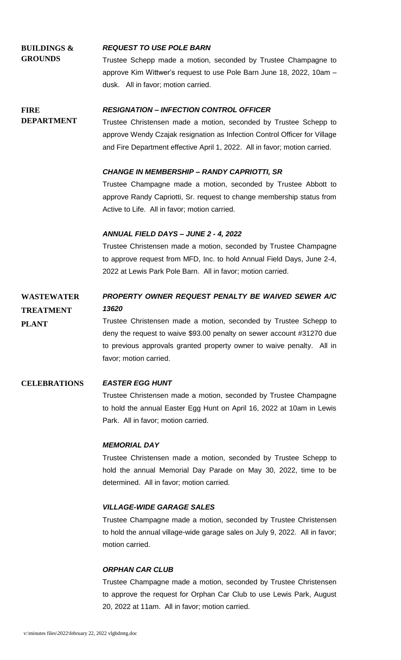### **BUILDINGS & GROUNDS** *REQUEST TO USE POLE BARN* Trustee Schepp made a motion, seconded by Trustee Champagne to

approve Kim Wittwer's request to use Pole Barn June 18, 2022, 10am – dusk. All in favor; motion carried.

#### **FIRE**  *RESIGNATION – INFECTION CONTROL OFFICER*

**DEPARTMENT** Trustee Christensen made a motion, seconded by Trustee Schepp to approve Wendy Czajak resignation as Infection Control Officer for Village and Fire Department effective April 1, 2022. All in favor; motion carried.

## *CHANGE IN MEMBERSHIP – RANDY CAPRIOTTI, SR*

Trustee Champagne made a motion, seconded by Trustee Abbott to approve Randy Capriotti, Sr. request to change membership status from Active to Life. All in favor; motion carried.

## *ANNUAL FIELD DAYS – JUNE 2 - 4, 2022*

Trustee Christensen made a motion, seconded by Trustee Champagne to approve request from MFD, Inc. to hold Annual Field Days, June 2-4, 2022 at Lewis Park Pole Barn. All in favor; motion carried.

#### **WASTEWATER TREATMENT** *PROPERTY OWNER REQUEST PENALTY BE WAIVED SEWER A/C 13620*

Trustee Christensen made a motion, seconded by Trustee Schepp to deny the request to waive \$93.00 penalty on sewer account #31270 due to previous approvals granted property owner to waive penalty. All in favor; motion carried.

## **CELEBRATIONS** *EASTER EGG HUNT*

**PLANT**

Trustee Christensen made a motion, seconded by Trustee Champagne to hold the annual Easter Egg Hunt on April 16, 2022 at 10am in Lewis Park. All in favor; motion carried.

## *MEMORIAL DAY*

Trustee Christensen made a motion, seconded by Trustee Schepp to hold the annual Memorial Day Parade on May 30, 2022, time to be determined. All in favor; motion carried.

## *VILLAGE-WIDE GARAGE SALES*

Trustee Champagne made a motion, seconded by Trustee Christensen to hold the annual village-wide garage sales on July 9, 2022. All in favor; motion carried.

## *ORPHAN CAR CLUB*

Trustee Champagne made a motion, seconded by Trustee Christensen to approve the request for Orphan Car Club to use Lewis Park, August 20, 2022 at 11am. All in favor; motion carried.